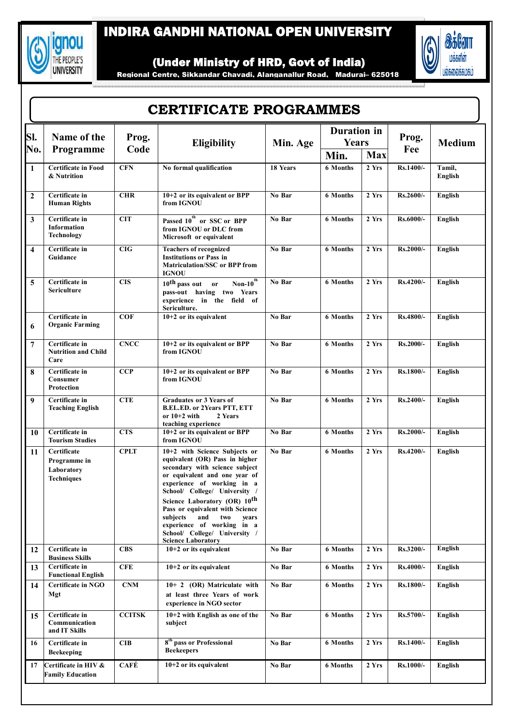

## INDIRA GANDHI NATIONAL OPEN UNIVERSITY



(Under Ministry of HRD, Govt of India)

Regional Centre, Sikkandar Chavadi, Alanganallur Road, Madurai– 625018

| SI.                     | Name of the<br>Programme                                       | Prog.<br>Code | Eligibility                                                                                                                                                                                                                                                                                                                                                                                                     | Min. Age | <b>Duration</b> in<br>Years |       | Prog.     | <b>Medium</b>     |
|-------------------------|----------------------------------------------------------------|---------------|-----------------------------------------------------------------------------------------------------------------------------------------------------------------------------------------------------------------------------------------------------------------------------------------------------------------------------------------------------------------------------------------------------------------|----------|-----------------------------|-------|-----------|-------------------|
| No.                     |                                                                |               |                                                                                                                                                                                                                                                                                                                                                                                                                 |          | Min.                        | Max   | Fee       |                   |
| $\mathbf{1}$            | <b>Certificate in Food</b><br>& Nutrition                      | <b>CFN</b>    | No formal qualification                                                                                                                                                                                                                                                                                                                                                                                         | 18 Years | <b>6 Months</b>             | 2 Yrs | Rs.1400/- | Tamil,<br>English |
| $\overline{2}$          | Certificate in<br><b>Human Rights</b>                          | <b>CHR</b>    | 10+2 or its equivalent or BPP<br>from IGNOU                                                                                                                                                                                                                                                                                                                                                                     | No Bar   | <b>6 Months</b>             | 2 Yrs | Rs.2600/- | English           |
| 3                       | Certificate in<br><b>Information</b><br><b>Technology</b>      | <b>CIT</b>    | Passed 10 <sup>th</sup> or SSC or BPP<br>from IGNOU or DLC from<br>Microsoft or equivalent                                                                                                                                                                                                                                                                                                                      | No Bar   | 6 Months                    | 2 Yrs | Rs.6000/- | English           |
| $\overline{\mathbf{4}}$ | Certificate in<br>Guidance                                     | CIG           | <b>Teachers of recognized</b><br><b>Institutions or Pass in</b><br><b>Matriculation/SSC or BPP from</b><br>IGNOU                                                                                                                                                                                                                                                                                                | No Bar   | <b>6</b> Months             | 2 Yrs | Rs.2000/- | English           |
| 5                       | Certificate in<br><b>Sericulture</b>                           | <b>CIS</b>    | Non- $10^{th}$<br>$10th$ pass out or<br>pass-out having two Years<br>experience in the field of<br>Sericulture.                                                                                                                                                                                                                                                                                                 | No Bar   | <b>6 Months</b>             | 2 Yrs | Rs.4200/- | English           |
| 6                       | Certificate in<br><b>Organic Farming</b>                       | <b>COF</b>    | $10+2$ or its equivalent                                                                                                                                                                                                                                                                                                                                                                                        | No Bar   | <b>6 Months</b>             | 2 Yrs | Rs.4800/- | English           |
| 7                       | Certificate in<br><b>Nutrition and Child</b><br>Care           | <b>CNCC</b>   | 10+2 or its equivalent or BPP<br>from IGNOU                                                                                                                                                                                                                                                                                                                                                                     | No Bar   | <b>6 Months</b>             | 2 Yrs | Rs.2000/- | English           |
| 8                       | Certificate in<br>Consumer<br>Protection                       | <b>CCP</b>    | 10+2 or its equivalent or BPP<br>from IGNOU                                                                                                                                                                                                                                                                                                                                                                     | No Bar   | 6 Months                    | 2 Yrs | Rs.1800/- | English           |
| 9                       | Certificate in<br><b>Teaching English</b>                      | <b>CTE</b>    | <b>Graduates or 3 Years of</b><br><b>B.EL.ED. or 2Years PTT, ETT</b><br>or 10+2 with<br>2 Years<br>teaching experience                                                                                                                                                                                                                                                                                          | No Bar   | <b>6 Months</b>             | 2 Yrs | Rs.2400/- | English           |
| 10                      | Certificate in<br><b>Tourism Studies</b>                       | <b>CTS</b>    | 10+2 or its equivalent or BPP<br>from IGNOU                                                                                                                                                                                                                                                                                                                                                                     | No Bar   | <b>6 Months</b>             | 2 Yrs | Rs.2000/- | <b>English</b>    |
| 11                      | Certificate<br>Programme in<br>Laboratory<br><b>Techniques</b> | <b>CPLT</b>   | 10+2 with Science Subjects or<br>equivalent (OR) Pass in higher<br>secondary with science subject<br>or equivalent and one year of<br>experience of working in a<br>School/ College/ University /<br>Science Laboratory (OR) 10 <sup>th</sup><br>Pass or equivalent with Science<br>subjects<br>and<br>vears<br>two<br>experience of working in a<br>School/ College/ University /<br><b>Science Laboratory</b> | No Bar   | <b>6 Months</b>             | 2 Yrs | Rs.4200/- | English           |
| 12                      | Certificate in<br><b>Business Skills</b>                       | <b>CBS</b>    | $10+2$ or its equivalent                                                                                                                                                                                                                                                                                                                                                                                        | No Bar   | 6 Months                    | 2 Yrs | Rs.3200/- | English           |
| 13                      | Certificate in<br><b>Functional English</b>                    | <b>CFE</b>    | $10+2$ or its equivalent                                                                                                                                                                                                                                                                                                                                                                                        | No Bar   | <b>6 Months</b>             | 2 Yrs | Rs.4000/- | <b>English</b>    |
| 14                      | <b>Certificate in NGO</b><br>Mgt                               | <b>CNM</b>    | 10+ 2 (OR) Matriculate with<br>at least three Years of work<br>experience in NGO sector                                                                                                                                                                                                                                                                                                                         | No Bar   | <b>6 Months</b>             | 2 Yrs | Rs.1800/- | English           |
| 15                      | Certificate in<br>Communication<br>and IT Skills               | <b>CCITSK</b> | 10+2 with English as one of the<br>subject                                                                                                                                                                                                                                                                                                                                                                      | No Bar   | 6 Months                    | 2 Yrs | Rs.5700/- | English           |
| 16                      | Certificate in<br><b>Beekeeping</b>                            | <b>CIB</b>    | 8 <sup>th</sup> pass or Professional<br><b>Beekeepers</b>                                                                                                                                                                                                                                                                                                                                                       | No Bar   | <b>6 Months</b>             | 2 Yrs | Rs.1400/- | English           |
| 17                      | Certificate in HIV &<br><b>Family Education</b>                | CAFÉ          | $10+2$ or its equivalent                                                                                                                                                                                                                                                                                                                                                                                        | No Bar   | <b>6 Months</b>             | 2 Yrs | Rs.1000/- | English           |